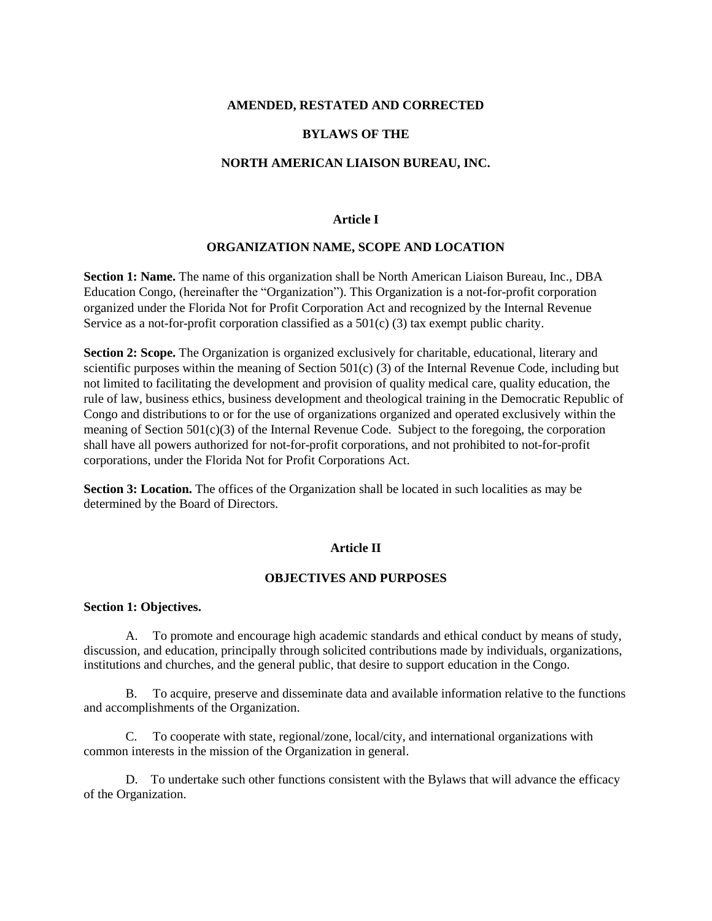### **AMENDED, RESTATED AND CORRECTED**

# **BYLAWS OF THE**

### **NORTH AMERICAN LIAISON BUREAU, INC.**

#### **Article I**

#### **ORGANIZATION NAME, SCOPE AND LOCATION**

**Section 1: Name.** The name of this organization shall be North American Liaison Bureau, Inc., DBA Education Congo, (hereinafter the "Organization"). This Organization is a not-for-profit corporation organized under the Florida Not for Profit Corporation Act and recognized by the Internal Revenue Service as a not-for-profit corporation classified as a  $501(c)$  (3) tax exempt public charity.

**Section 2: Scope.** The Organization is organized exclusively for charitable, educational, literary and scientific purposes within the meaning of Section  $501(c)$  (3) of the Internal Revenue Code, including but not limited to facilitating the development and provision of quality medical care, quality education, the rule of law, business ethics, business development and theological training in the Democratic Republic of Congo and distributions to or for the use of organizations organized and operated exclusively within the meaning of Section 501(c)(3) of the Internal Revenue Code. Subject to the foregoing, the corporation shall have all powers authorized for not-for-profit corporations, and not prohibited to not-for-profit corporations, under the Florida Not for Profit Corporations Act.

**Section 3: Location.** The offices of the Organization shall be located in such localities as may be determined by the Board of Directors.

#### **Article II**

# **OBJECTIVES AND PURPOSES**

### **Section 1: Objectives.**

A. To promote and encourage high academic standards and ethical conduct by means of study, discussion, and education, principally through solicited contributions made by individuals, organizations, institutions and churches, and the general public, that desire to support education in the Congo.

B. To acquire, preserve and disseminate data and available information relative to the functions and accomplishments of the Organization.

C. To cooperate with state, regional/zone, local/city, and international organizations with common interests in the mission of the Organization in general.

D. To undertake such other functions consistent with the Bylaws that will advance the efficacy of the Organization.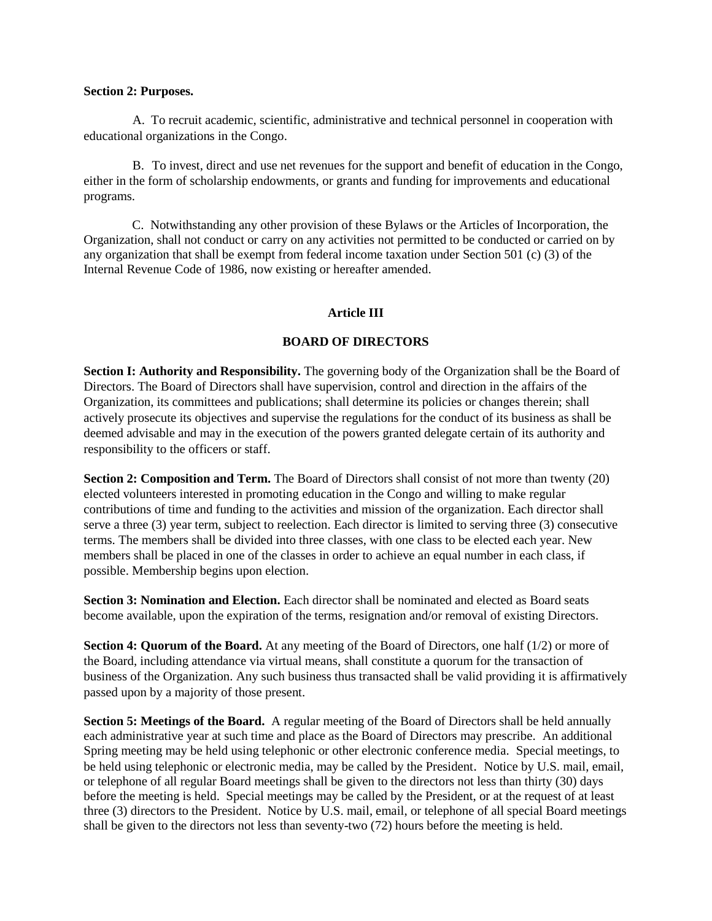### **Section 2: Purposes.**

A. To recruit academic, scientific, administrative and technical personnel in cooperation with educational organizations in the Congo.

B. To invest, direct and use net revenues for the support and benefit of education in the Congo, either in the form of scholarship endowments, or grants and funding for improvements and educational programs.

C. Notwithstanding any other provision of these Bylaws or the Articles of Incorporation, the Organization, shall not conduct or carry on any activities not permitted to be conducted or carried on by any organization that shall be exempt from federal income taxation under Section 501 (c) (3) of the Internal Revenue Code of 1986, now existing or hereafter amended.

# **Article III**

# **BOARD OF DIRECTORS**

**Section I: Authority and Responsibility.** The governing body of the Organization shall be the Board of Directors. The Board of Directors shall have supervision, control and direction in the affairs of the Organization, its committees and publications; shall determine its policies or changes therein; shall actively prosecute its objectives and supervise the regulations for the conduct of its business as shall be deemed advisable and may in the execution of the powers granted delegate certain of its authority and responsibility to the officers or staff.

**Section 2: Composition and Term.** The Board of Directors shall consist of not more than twenty (20) elected volunteers interested in promoting education in the Congo and willing to make regular contributions of time and funding to the activities and mission of the organization. Each director shall serve a three (3) year term, subject to reelection. Each director is limited to serving three (3) consecutive terms. The members shall be divided into three classes, with one class to be elected each year. New members shall be placed in one of the classes in order to achieve an equal number in each class, if possible. Membership begins upon election.

**Section 3: Nomination and Election.** Each director shall be nominated and elected as Board seats become available, upon the expiration of the terms, resignation and/or removal of existing Directors.

**Section 4: Quorum of the Board.** At any meeting of the Board of Directors, one half (1/2) or more of the Board, including attendance via virtual means, shall constitute a quorum for the transaction of business of the Organization. Any such business thus transacted shall be valid providing it is affirmatively passed upon by a majority of those present.

**Section 5: Meetings of the Board.** A regular meeting of the Board of Directors shall be held annually each administrative year at such time and place as the Board of Directors may prescribe. An additional Spring meeting may be held using telephonic or other electronic conference media. Special meetings, to be held using telephonic or electronic media, may be called by the President. Notice by U.S. mail, email, or telephone of all regular Board meetings shall be given to the directors not less than thirty (30) days before the meeting is held. Special meetings may be called by the President, or at the request of at least three (3) directors to the President. Notice by U.S. mail, email, or telephone of all special Board meetings shall be given to the directors not less than seventy-two (72) hours before the meeting is held.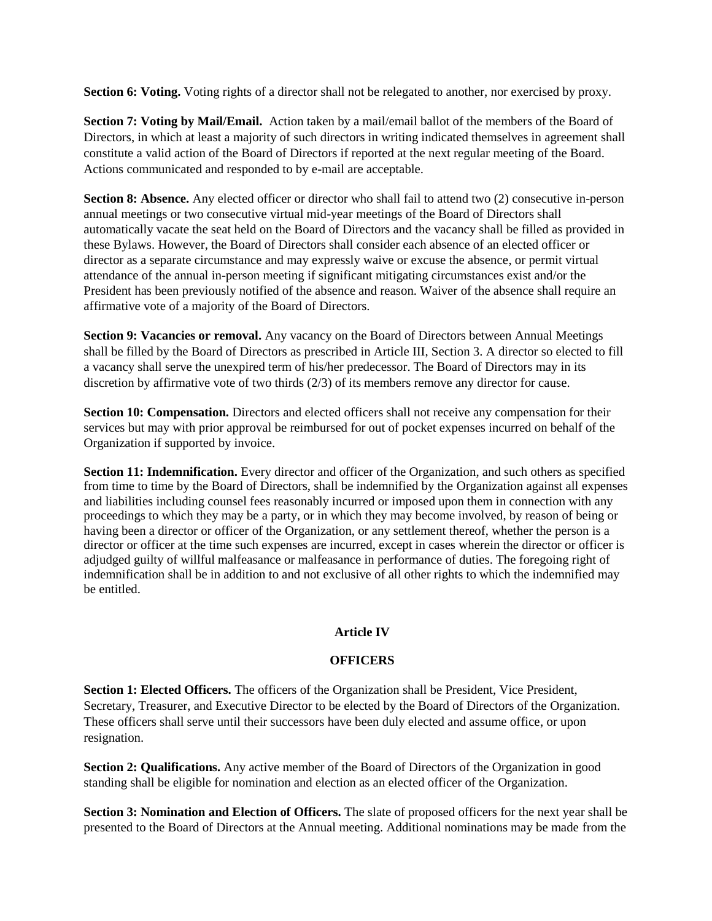**Section 6: Voting.** Voting rights of a director shall not be relegated to another, nor exercised by proxy.

**Section 7: Voting by Mail/Email.** Action taken by a mail/email ballot of the members of the Board of Directors, in which at least a majority of such directors in writing indicated themselves in agreement shall constitute a valid action of the Board of Directors if reported at the next regular meeting of the Board. Actions communicated and responded to by e-mail are acceptable.

**Section 8: Absence.** Any elected officer or director who shall fail to attend two (2) consecutive in-person annual meetings or two consecutive virtual mid-year meetings of the Board of Directors shall automatically vacate the seat held on the Board of Directors and the vacancy shall be filled as provided in these Bylaws. However, the Board of Directors shall consider each absence of an elected officer or director as a separate circumstance and may expressly waive or excuse the absence, or permit virtual attendance of the annual in-person meeting if significant mitigating circumstances exist and/or the President has been previously notified of the absence and reason. Waiver of the absence shall require an affirmative vote of a majority of the Board of Directors.

**Section 9: Vacancies or removal.** Any vacancy on the Board of Directors between Annual Meetings shall be filled by the Board of Directors as prescribed in Article III, Section 3. A director so elected to fill a vacancy shall serve the unexpired term of his/her predecessor. The Board of Directors may in its discretion by affirmative vote of two thirds (2/3) of its members remove any director for cause.

**Section 10: Compensation.** Directors and elected officers shall not receive any compensation for their services but may with prior approval be reimbursed for out of pocket expenses incurred on behalf of the Organization if supported by invoice.

**Section 11: Indemnification.** Every director and officer of the Organization, and such others as specified from time to time by the Board of Directors, shall be indemnified by the Organization against all expenses and liabilities including counsel fees reasonably incurred or imposed upon them in connection with any proceedings to which they may be a party, or in which they may become involved, by reason of being or having been a director or officer of the Organization, or any settlement thereof, whether the person is a director or officer at the time such expenses are incurred, except in cases wherein the director or officer is adjudged guilty of willful malfeasance or malfeasance in performance of duties. The foregoing right of indemnification shall be in addition to and not exclusive of all other rights to which the indemnified may be entitled.

# **Article IV**

# **OFFICERS**

**Section 1: Elected Officers.** The officers of the Organization shall be President, Vice President, Secretary, Treasurer, and Executive Director to be elected by the Board of Directors of the Organization. These officers shall serve until their successors have been duly elected and assume office, or upon resignation.

**Section 2: Qualifications.** Any active member of the Board of Directors of the Organization in good standing shall be eligible for nomination and election as an elected officer of the Organization.

**Section 3: Nomination and Election of Officers.** The slate of proposed officers for the next year shall be presented to the Board of Directors at the Annual meeting. Additional nominations may be made from the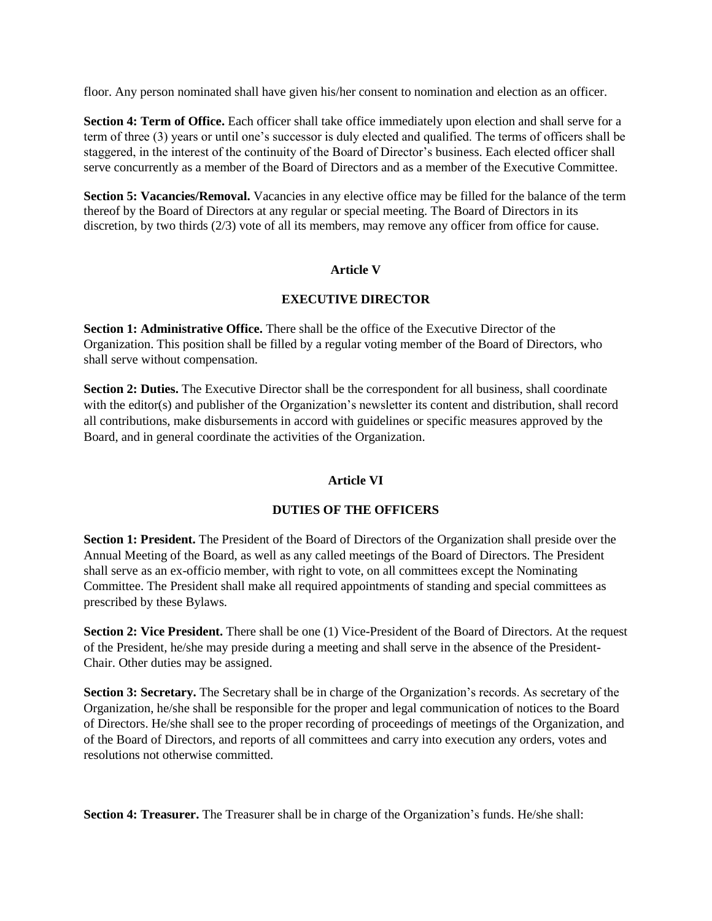floor. Any person nominated shall have given his/her consent to nomination and election as an officer.

**Section 4: Term of Office.** Each officer shall take office immediately upon election and shall serve for a term of three (3) years or until one's successor is duly elected and qualified. The terms of officers shall be staggered, in the interest of the continuity of the Board of Director's business. Each elected officer shall serve concurrently as a member of the Board of Directors and as a member of the Executive Committee.

**Section 5: Vacancies/Removal.** Vacancies in any elective office may be filled for the balance of the term thereof by the Board of Directors at any regular or special meeting. The Board of Directors in its discretion, by two thirds (2/3) vote of all its members, may remove any officer from office for cause.

### **Article V**

#### **EXECUTIVE DIRECTOR**

**Section 1: Administrative Office.** There shall be the office of the Executive Director of the Organization. This position shall be filled by a regular voting member of the Board of Directors, who shall serve without compensation.

**Section 2: Duties.** The Executive Director shall be the correspondent for all business, shall coordinate with the editor(s) and publisher of the Organization's newsletter its content and distribution, shall record all contributions, make disbursements in accord with guidelines or specific measures approved by the Board, and in general coordinate the activities of the Organization.

# **Article VI**

#### **DUTIES OF THE OFFICERS**

**Section 1: President.** The President of the Board of Directors of the Organization shall preside over the Annual Meeting of the Board, as well as any called meetings of the Board of Directors. The President shall serve as an ex-officio member, with right to vote, on all committees except the Nominating Committee. The President shall make all required appointments of standing and special committees as prescribed by these Bylaws.

**Section 2: Vice President.** There shall be one (1) Vice-President of the Board of Directors. At the request of the President, he/she may preside during a meeting and shall serve in the absence of the President-Chair. Other duties may be assigned.

**Section 3: Secretary.** The Secretary shall be in charge of the Organization's records. As secretary of the Organization, he/she shall be responsible for the proper and legal communication of notices to the Board of Directors. He/she shall see to the proper recording of proceedings of meetings of the Organization, and of the Board of Directors, and reports of all committees and carry into execution any orders, votes and resolutions not otherwise committed.

**Section 4: Treasurer.** The Treasurer shall be in charge of the Organization's funds. He/she shall: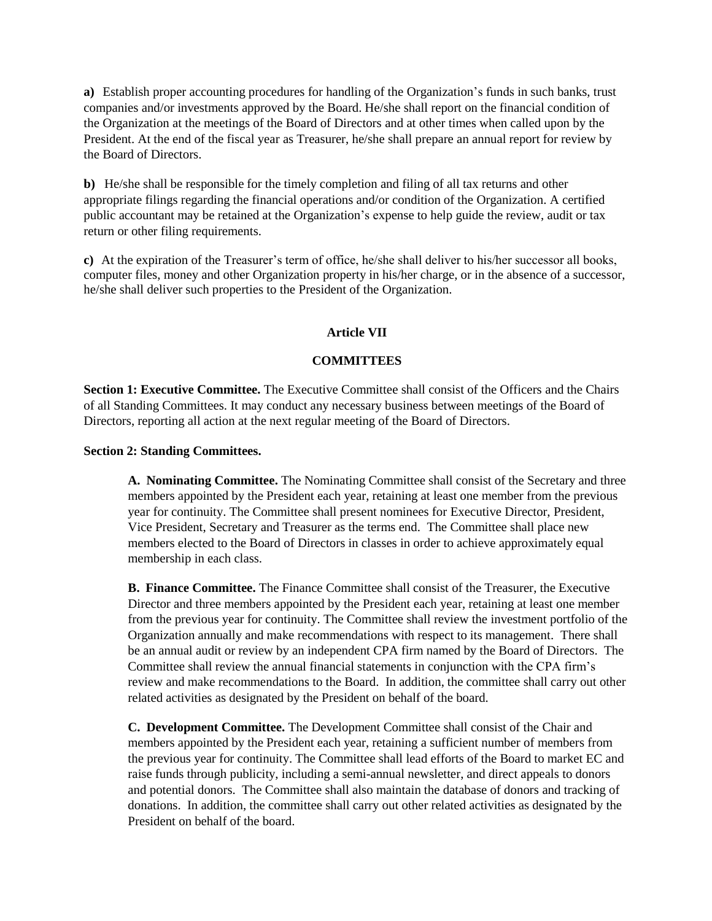**a)** Establish proper accounting procedures for handling of the Organization's funds in such banks, trust companies and/or investments approved by the Board. He/she shall report on the financial condition of the Organization at the meetings of the Board of Directors and at other times when called upon by the President. At the end of the fiscal year as Treasurer, he/she shall prepare an annual report for review by the Board of Directors.

**b)** He/she shall be responsible for the timely completion and filing of all tax returns and other appropriate filings regarding the financial operations and/or condition of the Organization. A certified public accountant may be retained at the Organization's expense to help guide the review, audit or tax return or other filing requirements.

**c)** At the expiration of the Treasurer's term of office, he/she shall deliver to his/her successor all books, computer files, money and other Organization property in his/her charge, or in the absence of a successor, he/she shall deliver such properties to the President of the Organization.

# **Article VII**

### **COMMITTEES**

**Section 1: Executive Committee.** The Executive Committee shall consist of the Officers and the Chairs of all Standing Committees. It may conduct any necessary business between meetings of the Board of Directors, reporting all action at the next regular meeting of the Board of Directors.

#### **Section 2: Standing Committees.**

**A. Nominating Committee.** The Nominating Committee shall consist of the Secretary and three members appointed by the President each year, retaining at least one member from the previous year for continuity. The Committee shall present nominees for Executive Director, President, Vice President, Secretary and Treasurer as the terms end. The Committee shall place new members elected to the Board of Directors in classes in order to achieve approximately equal membership in each class.

**B. Finance Committee.** The Finance Committee shall consist of the Treasurer, the Executive Director and three members appointed by the President each year, retaining at least one member from the previous year for continuity. The Committee shall review the investment portfolio of the Organization annually and make recommendations with respect to its management. There shall be an annual audit or review by an independent CPA firm named by the Board of Directors. The Committee shall review the annual financial statements in conjunction with the CPA firm's review and make recommendations to the Board. In addition, the committee shall carry out other related activities as designated by the President on behalf of the board.

**C. Development Committee.** The Development Committee shall consist of the Chair and members appointed by the President each year, retaining a sufficient number of members from the previous year for continuity. The Committee shall lead efforts of the Board to market EC and raise funds through publicity, including a semi-annual newsletter, and direct appeals to donors and potential donors. The Committee shall also maintain the database of donors and tracking of donations. In addition, the committee shall carry out other related activities as designated by the President on behalf of the board.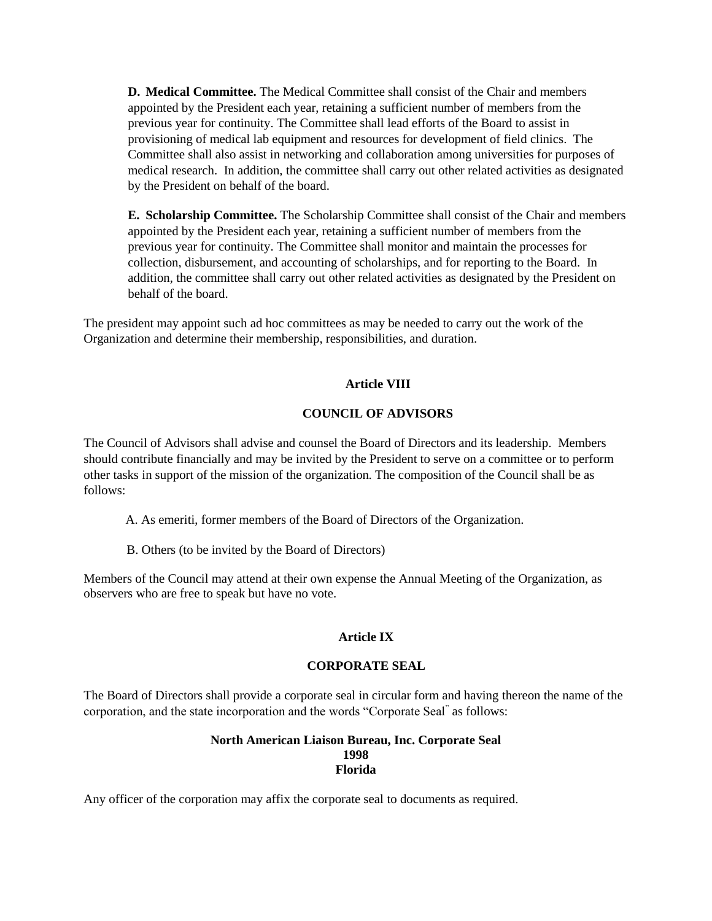**D. Medical Committee.** The Medical Committee shall consist of the Chair and members appointed by the President each year, retaining a sufficient number of members from the previous year for continuity. The Committee shall lead efforts of the Board to assist in provisioning of medical lab equipment and resources for development of field clinics. The Committee shall also assist in networking and collaboration among universities for purposes of medical research. In addition, the committee shall carry out other related activities as designated by the President on behalf of the board.

**E. Scholarship Committee.** The Scholarship Committee shall consist of the Chair and members appointed by the President each year, retaining a sufficient number of members from the previous year for continuity. The Committee shall monitor and maintain the processes for collection, disbursement, and accounting of scholarships, and for reporting to the Board. In addition, the committee shall carry out other related activities as designated by the President on behalf of the board.

The president may appoint such ad hoc committees as may be needed to carry out the work of the Organization and determine their membership, responsibilities, and duration.

# **Article VIII**

# **COUNCIL OF ADVISORS**

The Council of Advisors shall advise and counsel the Board of Directors and its leadership. Members should contribute financially and may be invited by the President to serve on a committee or to perform other tasks in support of the mission of the organization. The composition of the Council shall be as follows:

- A. As emeriti, former members of the Board of Directors of the Organization.
- B. Others (to be invited by the Board of Directors)

Members of the Council may attend at their own expense the Annual Meeting of the Organization, as observers who are free to speak but have no vote.

# **Article IX**

# **CORPORATE SEAL**

The Board of Directors shall provide a corporate seal in circular form and having thereon the name of the corporation, and the state incorporation and the words "Corporate Seal" as follows:

## **North American Liaison Bureau, Inc. Corporate Seal 1998 Florida**

Any officer of the corporation may affix the corporate seal to documents as required.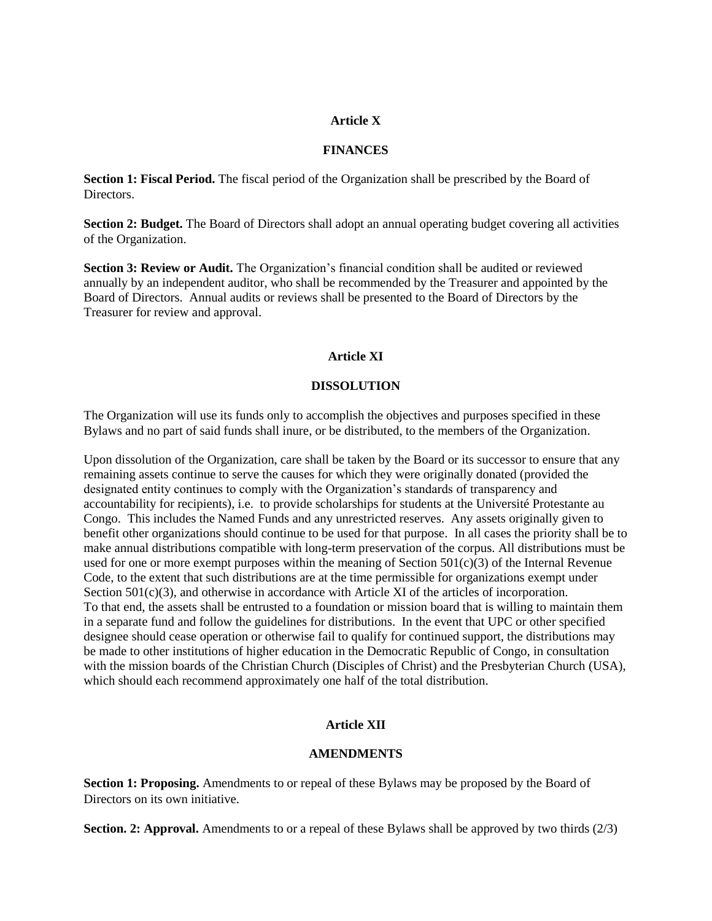### **Article X**

### **FINANCES**

**Section 1: Fiscal Period.** The fiscal period of the Organization shall be prescribed by the Board of Directors.

**Section 2: Budget.** The Board of Directors shall adopt an annual operating budget covering all activities of the Organization.

**Section 3: Review or Audit.** The Organization's financial condition shall be audited or reviewed annually by an independent auditor, who shall be recommended by the Treasurer and appointed by the Board of Directors. Annual audits or reviews shall be presented to the Board of Directors by the Treasurer for review and approval.

### **Article XI**

### **DISSOLUTION**

The Organization will use its funds only to accomplish the objectives and purposes specified in these Bylaws and no part of said funds shall inure, or be distributed, to the members of the Organization.

Upon dissolution of the Organization, care shall be taken by the Board or its successor to ensure that any remaining assets continue to serve the causes for which they were originally donated (provided the designated entity continues to comply with the Organization's standards of transparency and accountability for recipients), i.e. to provide scholarships for students at the Université Protestante au Congo. This includes the Named Funds and any unrestricted reserves. Any assets originally given to benefit other organizations should continue to be used for that purpose. In all cases the priority shall be to make annual distributions compatible with long-term preservation of the corpus. All distributions must be used for one or more exempt purposes within the meaning of Section 501(c)(3) of the Internal Revenue Code, to the extent that such distributions are at the time permissible for organizations exempt under Section  $501(c)(3)$ , and otherwise in accordance with Article XI of the articles of incorporation. To that end, the assets shall be entrusted to a foundation or mission board that is willing to maintain them in a separate fund and follow the guidelines for distributions. In the event that UPC or other specified designee should cease operation or otherwise fail to qualify for continued support, the distributions may be made to other institutions of higher education in the Democratic Republic of Congo, in consultation with the mission boards of the Christian Church (Disciples of Christ) and the Presbyterian Church (USA), which should each recommend approximately one half of the total distribution.

# **Article XII**

#### **AMENDMENTS**

**Section 1: Proposing.** Amendments to or repeal of these Bylaws may be proposed by the Board of Directors on its own initiative.

**Section. 2: Approval.** Amendments to or a repeal of these Bylaws shall be approved by two thirds (2/3)